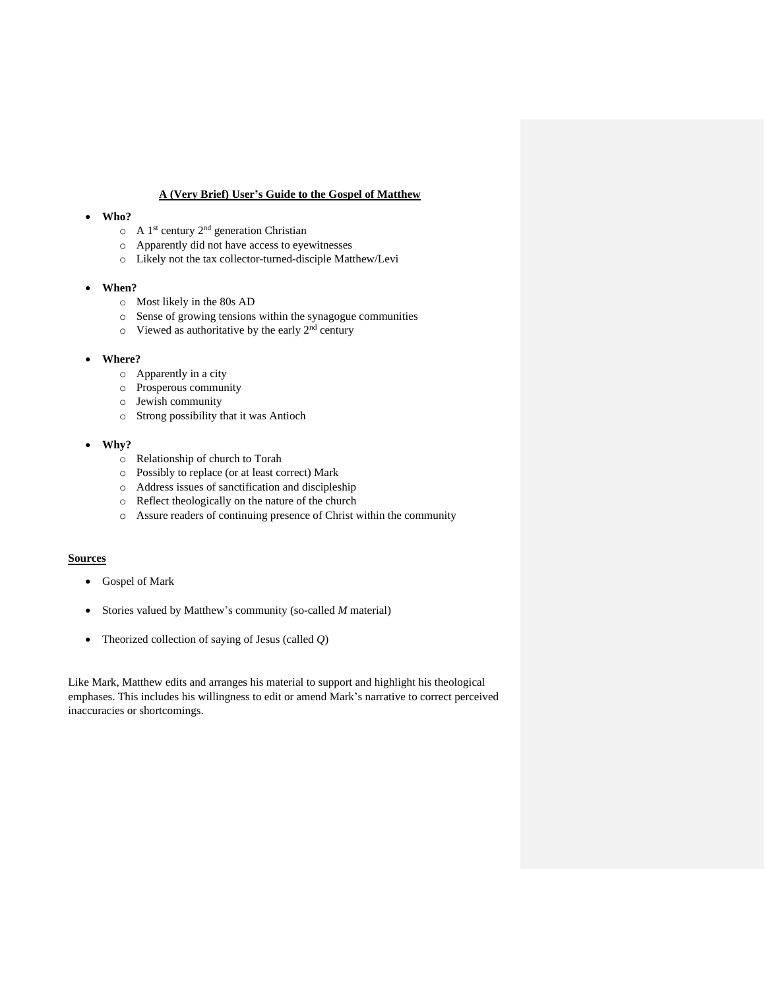## **A (Very Brief) User's Guide to the Gospel of Matthew**

#### • **Who?**

- $\circ$  A 1<sup>st</sup> century 2<sup>nd</sup> generation Christian
- o Apparently did not have access to eyewitnesses
- o Likely not the tax collector-turned-disciple Matthew/Levi
- **When?**
	- o Most likely in the 80s AD
	- o Sense of growing tensions within the synagogue communities
	- $\circ$  Viewed as authoritative by the early  $2<sup>nd</sup>$  century

### • **Where?**

- o Apparently in a city
- o Prosperous community
- o Jewish community
- o Strong possibility that it was Antioch

#### • **Why?**

- o Relationship of church to Torah
- o Possibly to replace (or at least correct) Mark
- o Address issues of sanctification and discipleship
- o Reflect theologically on the nature of the church
- o Assure readers of continuing presence of Christ within the community

#### **Sources**

- Gospel of Mark
- Stories valued by Matthew's community (so-called *M* material)
- Theorized collection of saying of Jesus (called *Q*)

Like Mark, Matthew edits and arranges his material to support and highlight his theological emphases. This includes his willingness to edit or amend Mark's narrative to correct perceived inaccuracies or shortcomings.